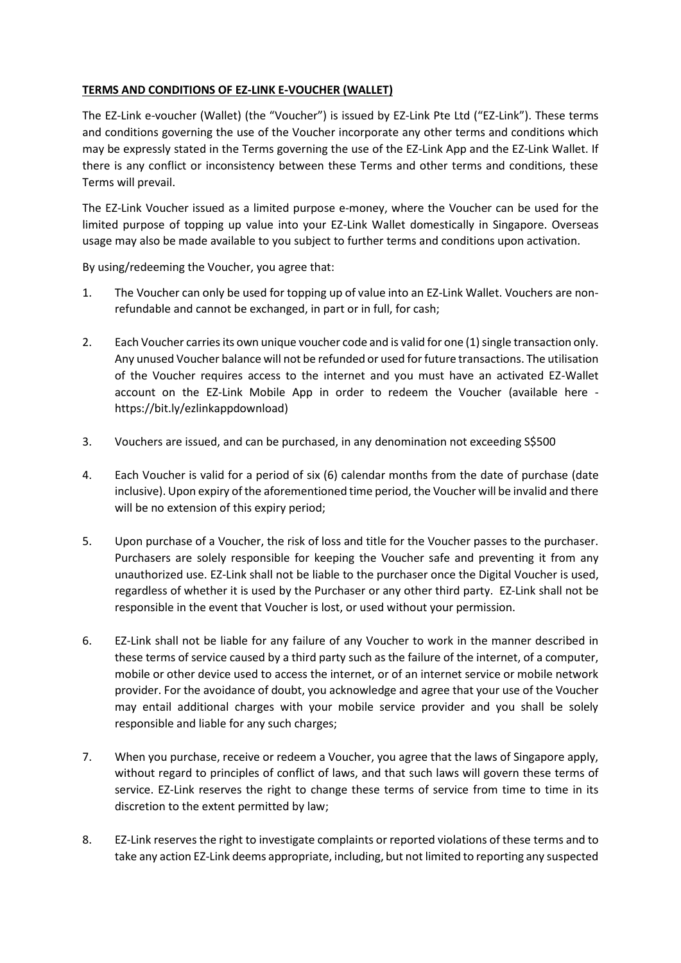## **TERMS AND CONDITIONS OF EZ-LINK E-VOUCHER (WALLET)**

The EZ-Link e-voucher (Wallet) (the "Voucher") is issued by EZ-Link Pte Ltd ("EZ-Link"). These terms and conditions governing the use of the Voucher incorporate any other terms and conditions which may be expressly stated in the Terms governing the use of the EZ-Link App and the EZ-Link Wallet. If there is any conflict or inconsistency between these Terms and other terms and conditions, these Terms will prevail.

The EZ-Link Voucher issued as a limited purpose e-money, where the Voucher can be used for the limited purpose of topping up value into your EZ-Link Wallet domestically in Singapore. Overseas usage may also be made available to you subject to further terms and conditions upon activation.

By using/redeeming the Voucher, you agree that:

- 1. The Voucher can only be used for topping up of value into an EZ-Link Wallet. Vouchers are nonrefundable and cannot be exchanged, in part or in full, for cash;
- 2. Each Voucher carries its own unique voucher code and is valid for one (1) single transaction only. Any unused Voucher balance will not be refunded or used for future transactions. The utilisation of the Voucher requires access to the internet and you must have an activated EZ-Wallet account on the EZ-Link Mobile App in order to redeem the Voucher (available here https://bit.ly/ezlinkappdownload)
- 3. Vouchers are issued, and can be purchased, in any denomination not exceeding S\$500
- 4. Each Voucher is valid for a period of six (6) calendar months from the date of purchase (date inclusive). Upon expiry of the aforementioned time period, the Voucher will be invalid and there will be no extension of this expiry period;
- 5. Upon purchase of a Voucher, the risk of loss and title for the Voucher passes to the purchaser. Purchasers are solely responsible for keeping the Voucher safe and preventing it from any unauthorized use. EZ-Link shall not be liable to the purchaser once the Digital Voucher is used, regardless of whether it is used by the Purchaser or any other third party. EZ-Link shall not be responsible in the event that Voucher is lost, or used without your permission.
- 6. EZ-Link shall not be liable for any failure of any Voucher to work in the manner described in these terms of service caused by a third party such as the failure of the internet, of a computer, mobile or other device used to access the internet, or of an internet service or mobile network provider. For the avoidance of doubt, you acknowledge and agree that your use of the Voucher may entail additional charges with your mobile service provider and you shall be solely responsible and liable for any such charges;
- 7. When you purchase, receive or redeem a Voucher, you agree that the laws of Singapore apply, without regard to principles of conflict of laws, and that such laws will govern these terms of service. EZ-Link reserves the right to change these terms of service from time to time in its discretion to the extent permitted by law;
- 8. EZ-Link reserves the right to investigate complaints or reported violations of these terms and to take any action EZ-Link deems appropriate, including, but not limited to reporting any suspected